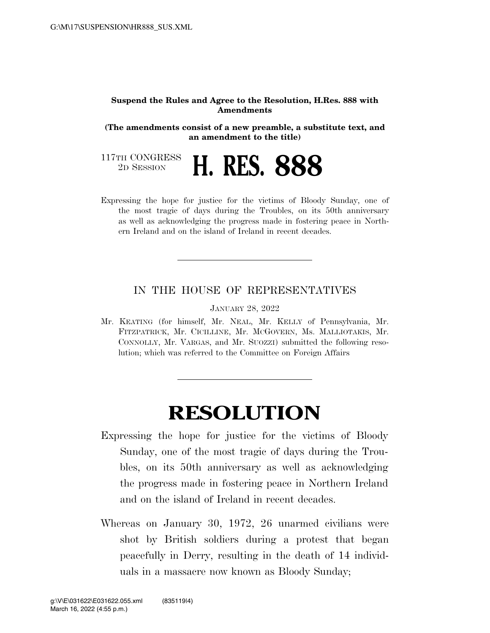## **Suspend the Rules and Agree to the Resolution, H.Res. 888 with Amendments**

**(The amendments consist of a new preamble, a substitute text, and an amendment to the title)** 

117TH CONGRESS<br>2D SESSION

2D SESSION **H. RES. 888** 

Expressing the hope for justice for the victims of Bloody Sunday, one of the most tragic of days during the Troubles, on its 50th anniversary as well as acknowledging the progress made in fostering peace in Northern Ireland and on the island of Ireland in recent decades.

## IN THE HOUSE OF REPRESENTATIVES

JANUARY 28, 2022

Mr. KEATING (for himself, Mr. NEAL, Mr. KELLY of Pennsylvania, Mr. FITZPATRICK, Mr. CICILLINE, Mr. MCGOVERN, Ms. MALLIOTAKIS, Mr. CONNOLLY, Mr. VARGAS, and Mr. SUOZZI) submitted the following resolution; which was referred to the Committee on Foreign Affairs

## **RESOLUTION**

- Expressing the hope for justice for the victims of Bloody Sunday, one of the most tragic of days during the Troubles, on its 50th anniversary as well as acknowledging the progress made in fostering peace in Northern Ireland and on the island of Ireland in recent decades.
- Whereas on January 30, 1972, 26 unarmed civilians were shot by British soldiers during a protest that began peacefully in Derry, resulting in the death of 14 individuals in a massacre now known as Bloody Sunday;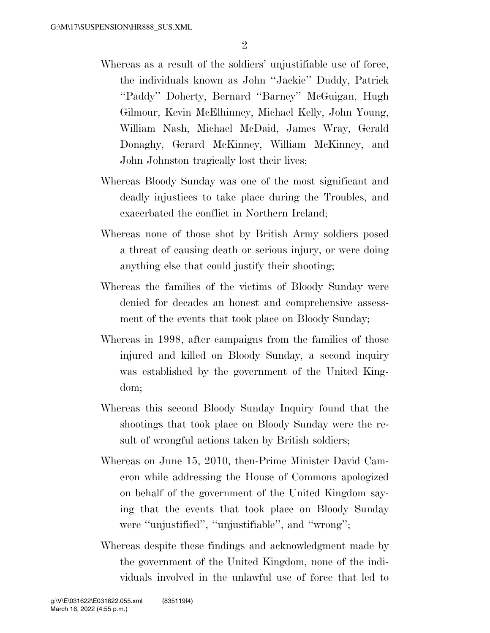- Whereas as a result of the soldiers' unjustifiable use of force, the individuals known as John ''Jackie'' Duddy, Patrick ''Paddy'' Doherty, Bernard ''Barney'' McGuigan, Hugh Gilmour, Kevin McElhinney, Michael Kelly, John Young, William Nash, Michael McDaid, James Wray, Gerald Donaghy, Gerard McKinney, William McKinney, and John Johnston tragically lost their lives;
- Whereas Bloody Sunday was one of the most significant and deadly injustices to take place during the Troubles, and exacerbated the conflict in Northern Ireland;
- Whereas none of those shot by British Army soldiers posed a threat of causing death or serious injury, or were doing anything else that could justify their shooting;
- Whereas the families of the victims of Bloody Sunday were denied for decades an honest and comprehensive assessment of the events that took place on Bloody Sunday;
- Whereas in 1998, after campaigns from the families of those injured and killed on Bloody Sunday, a second inquiry was established by the government of the United Kingdom;
- Whereas this second Bloody Sunday Inquiry found that the shootings that took place on Bloody Sunday were the result of wrongful actions taken by British soldiers;
- Whereas on June 15, 2010, then-Prime Minister David Cameron while addressing the House of Commons apologized on behalf of the government of the United Kingdom saying that the events that took place on Bloody Sunday were ''unjustified'', ''unjustifiable'', and ''wrong'';
- Whereas despite these findings and acknowledgment made by the government of the United Kingdom, none of the individuals involved in the unlawful use of force that led to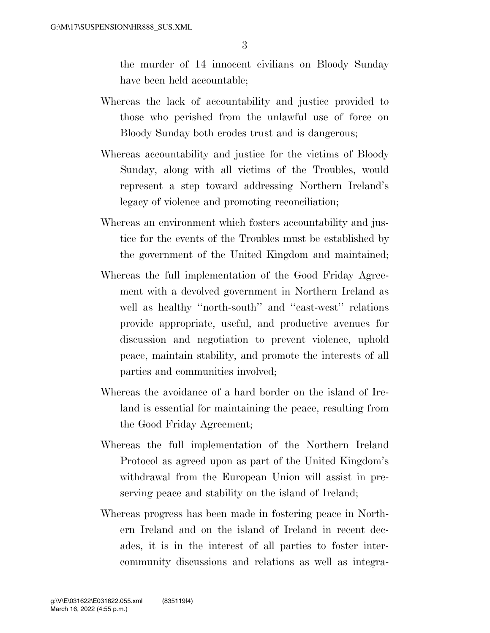the murder of 14 innocent civilians on Bloody Sunday have been held accountable;

- Whereas the lack of accountability and justice provided to those who perished from the unlawful use of force on Bloody Sunday both erodes trust and is dangerous;
- Whereas accountability and justice for the victims of Bloody Sunday, along with all victims of the Troubles, would represent a step toward addressing Northern Ireland's legacy of violence and promoting reconciliation;
- Whereas an environment which fosters accountability and justice for the events of the Troubles must be established by the government of the United Kingdom and maintained;
- Whereas the full implementation of the Good Friday Agreement with a devolved government in Northern Ireland as well as healthy "north-south" and "east-west" relations provide appropriate, useful, and productive avenues for discussion and negotiation to prevent violence, uphold peace, maintain stability, and promote the interests of all parties and communities involved;
- Whereas the avoidance of a hard border on the island of Ireland is essential for maintaining the peace, resulting from the Good Friday Agreement;
- Whereas the full implementation of the Northern Ireland Protocol as agreed upon as part of the United Kingdom's withdrawal from the European Union will assist in preserving peace and stability on the island of Ireland;
- Whereas progress has been made in fostering peace in Northern Ireland and on the island of Ireland in recent decades, it is in the interest of all parties to foster intercommunity discussions and relations as well as integra-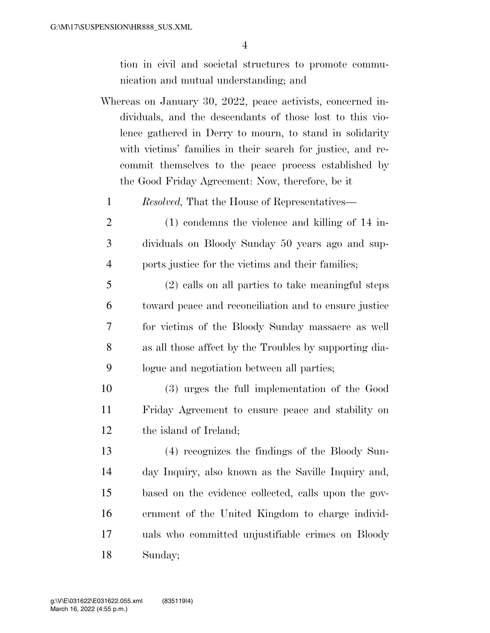tion in civil and societal structures to promote communication and mutual understanding; and

- Whereas on January 30, 2022, peace activists, concerned individuals, and the descendants of those lost to this violence gathered in Derry to mourn, to stand in solidarity with victims' families in their search for justice, and recommit themselves to the peace process established by the Good Friday Agreement: Now, therefore, be it
	- *Resolved,* That the House of Representatives—
- (1) condemns the violence and killing of 14 in- dividuals on Bloody Sunday 50 years ago and sup-ports justice for the victims and their families;
- (2) calls on all parties to take meaningful steps toward peace and reconciliation and to ensure justice for victims of the Bloody Sunday massacre as well as all those affect by the Troubles by supporting dia-logue and negotiation between all parties;
- (3) urges the full implementation of the Good Friday Agreement to ensure peace and stability on the island of Ireland;
- (4) recognizes the findings of the Bloody Sun- day Inquiry, also known as the Saville Inquiry and, based on the evidence collected, calls upon the gov- ernment of the United Kingdom to charge individ- uals who committed unjustifiable crimes on Bloody Sunday;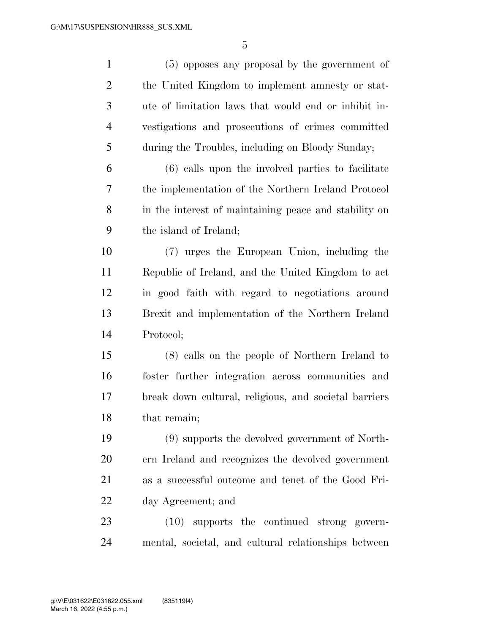| $\mathbf{1}$   | (5) opposes any proposal by the government of         |
|----------------|-------------------------------------------------------|
| $\overline{2}$ | the United Kingdom to implement amnesty or stat-      |
| 3              | ute of limitation laws that would end or inhibit in-  |
| $\overline{4}$ | vestigations and prosecutions of crimes committed     |
| 5              | during the Troubles, including on Bloody Sunday;      |
| 6              | (6) calls upon the involved parties to facilitate     |
| 7              | the implementation of the Northern Ireland Protocol   |
| 8              | in the interest of maintaining peace and stability on |
| 9              | the island of Ireland;                                |
| 10             | (7) urges the European Union, including the           |
| 11             | Republic of Ireland, and the United Kingdom to act    |
| 12             | in good faith with regard to negotiations around      |
| 13             | Brexit and implementation of the Northern Ireland     |
| 14             | Protocol;                                             |
| 15             | (8) calls on the people of Northern Ireland to        |
| 16             | foster further integration across communities and     |
| 17             | break down cultural, religious, and societal barriers |
| 18             | that remain;                                          |
| 19             | (9) supports the devolved government of North-        |
| 20             | ern Ireland and recognizes the devolved government    |
| 21             | as a successful outcome and tenet of the Good Fri-    |
| 22             | day Agreement; and                                    |
| 23             | $(10)$ supports the continued strong govern-          |
| 24             | mental, societal, and cultural relationships between  |